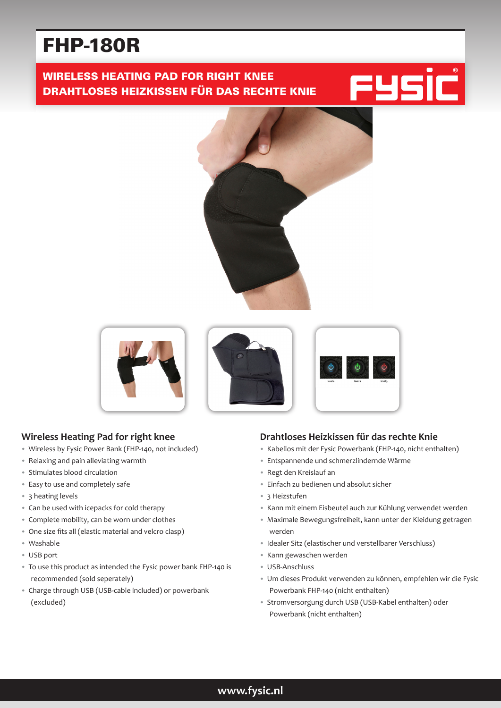# FHP-180R

## WIRELESS HEATING PAD FOR RIGHT KNEE DRAHTLOSES HEIZKISSEN FÜR DAS RECHTE KNIE











#### **Wireless Heating Pad for right knee**

- Wireless by Fysic Power Bank (FHP-140, not included)
- Relaxing and pain alleviating warmth
- Stimulates blood circulation
- Easy to use and completely safe
- 3 heating levels
- Can be used with icepacks for cold therapy
- Complete mobility, can be worn under clothes
- One size fits all (elastic material and velcro clasp)
- Washable
- USB port
- To use this product as intended the Fysic power bank FHP-140 is recommended (sold seperately)
- Charge through USB (USB-cable included) or powerbank (excluded)

#### **Drahtloses Heizkissen für das rechte Knie**

- Kabellos mit der Fysic Powerbank (FHP-140, nicht enthalten)
- Entspannende und schmerzlindernde Wärme
- Regt den Kreislauf an
- Einfach zu bedienen und absolut sicher
- 3 Heizstufen
- Kann mit einem Eisbeutel auch zur Kühlung verwendet werden
- Maximale Bewegungsfreiheit, kann unter der Kleidung getragen werden
- Idealer Sitz (elastischer und verstellbarer Verschluss)
- Kann gewaschen werden
- USB-Anschluss
- Um dieses Produkt verwenden zu können, empfehlen wir die Fysic Powerbank FHP-140 (nicht enthalten)
- Stromversorgung durch USB (USB-Kabel enthalten) oder Powerbank (nicht enthalten)

### **www.fysic.nl**